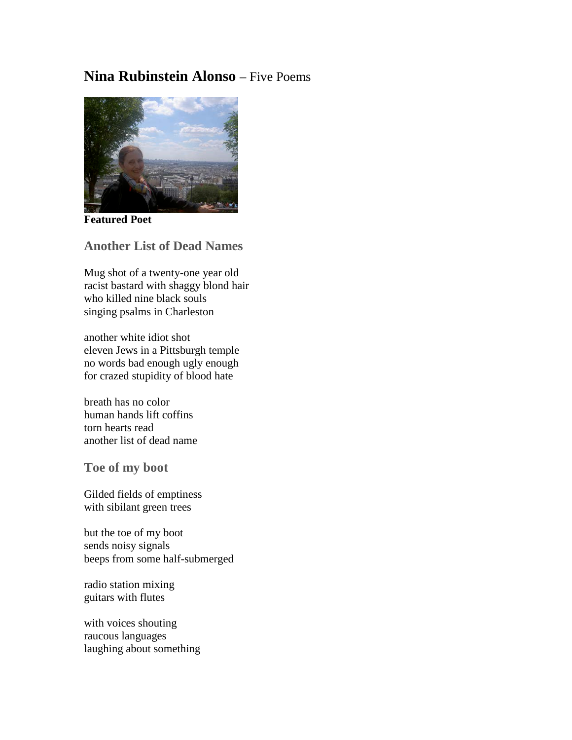## **Nina Rubinstein Alonso** – Five Poems



**Featured Poet**

**Another List of Dead Names** 

Mug shot of a twenty-one year old racist bastard with shaggy blond hair who killed nine black souls singing psalms in Charleston

another white idiot shot eleven Jews in a Pittsburgh temple no words bad enough ugly enough for crazed stupidity of blood hate

breath has no color human hands lift coffins torn hearts read another list of dead name

**Toe of my boot** 

Gilded fields of emptiness with sibilant green trees

but the toe of my boot sends noisy signals beeps from some half-submerged

radio station mixing guitars with flutes

with voices shouting raucous languages laughing about something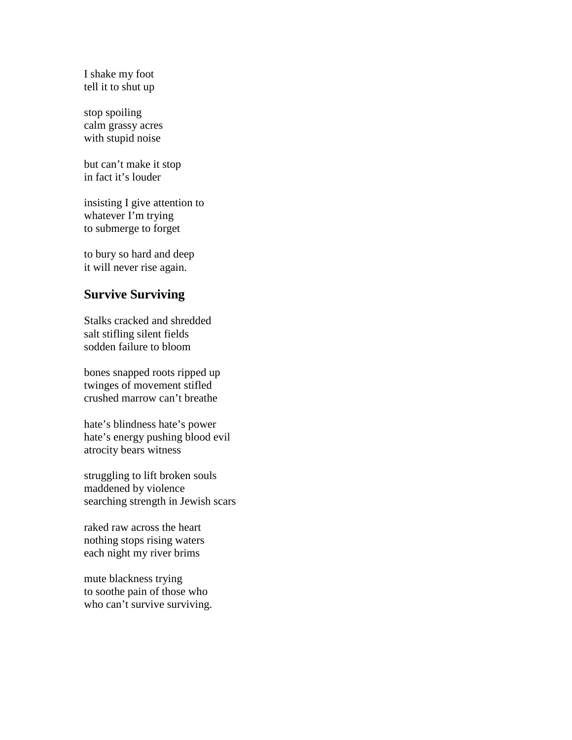I shake my foot tell it to shut up

stop spoiling calm grassy acres with stupid noise

but can't make it stop in fact it's louder

insisting I give attention to whatever I'm trying to submerge to forget

to bury so hard and deep it will never rise again.

## **Survive Surviving**

Stalks cracked and shredded salt stifling silent fields sodden failure to bloom

bones snapped roots ripped up twinges of movement stifled crushed marrow can't breathe

hate's blindness hate's power hate's energy pushing blood evil atrocity bears witness

struggling to lift broken souls maddened by violence searching strength in Jewish scars

raked raw across the heart nothing stops rising waters each night my river brims

mute blackness trying to soothe pain of those who who can't survive surviving.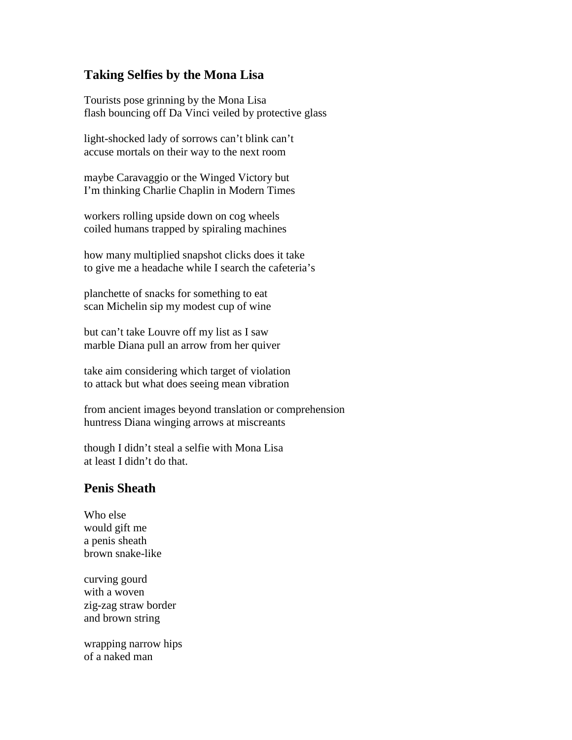## **Taking Selfies by the Mona Lisa**

Tourists pose grinning by the Mona Lisa flash bouncing off Da Vinci veiled by protective glass

light-shocked lady of sorrows can't blink can't accuse mortals on their way to the next room

maybe Caravaggio or the Winged Victory but I'm thinking Charlie Chaplin in Modern Times

workers rolling upside down on cog wheels coiled humans trapped by spiraling machines

how many multiplied snapshot clicks does it take to give me a headache while I search the cafeteria's

planchette of snacks for something to eat scan Michelin sip my modest cup of wine

but can't take Louvre off my list as I saw marble Diana pull an arrow from her quiver

take aim considering which target of violation to attack but what does seeing mean vibration

from ancient images beyond translation or comprehension huntress Diana winging arrows at miscreants

though I didn't steal a selfie with Mona Lisa at least I didn't do that.

## **Penis Sheath**

Who else would gift me a penis sheath brown snake-like

curving gourd with a woven zig-zag straw border and brown string

wrapping narrow hips of a naked man